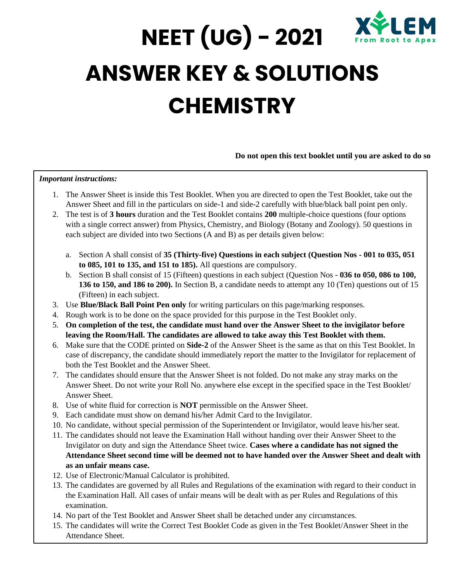

# **NEET (UG) - 2021 ANSWER KEY & SOLUTIONS CHEMISTRY**

#### **Do not open this text booklet until you are asked to do so**

#### *Important instructions:*

- 1. The Answer Sheet is inside this Test Booklet. When you are directed to open the Test Booklet, take out the Answer Sheet and fill in the particulars on side-1 and side-2 carefully with blue/black ball point pen only.
- 2. The test is of **3 hours** duration and the Test Booklet contains **200** multiple-choice questions (four options with a single correct answer) from Physics, Chemistry, and Biology (Botany and Zoology). 50 questions in each subject are divided into two Sections (A and B) as per details given below:
	- a. Section A shall consist of **35 (Thirty-five) Questions in each subject (Question Nos - 001 to 035, 051 to 085, 101 to 135, and 151 to 185).** All questions are compulsory.
	- b. Section B shall consist of 15 (Fifteen) questions in each subject (Question Nos **036 to 050, 086 to 100, 136 to 150, and 186 to 200).** In Section B, a candidate needs to attempt any 10 (Ten) questions out of 15 (Fifteen) in each subject.
- 3. Use **Blue/Black Ball Point Pen only** for writing particulars on this page/marking responses.
- 4. Rough work is to be done on the space provided for this purpose in the Test Booklet only.
- 5. **On completion of the test, the candidate must hand over the Answer Sheet to the invigilator before leaving the Room/Hall. The candidates are allowed to take away this Test Booklet with them.**
- 6. Make sure that the CODE printed on **Side-2** of the Answer Sheet is the same as that on this Test Booklet. In case of discrepancy, the candidate should immediately report the matter to the Invigilator for replacement of both the Test Booklet and the Answer Sheet.
- 7. The candidates should ensure that the Answer Sheet is not folded. Do not make any stray marks on the Answer Sheet. Do not write your Roll No. anywhere else except in the specified space in the Test Booklet/ Answer Sheet.
- 8. Use of white fluid for correction is **NOT** permissible on the Answer Sheet.
- 9. Each candidate must show on demand his/her Admit Card to the Invigilator.
- 10. No candidate, without special permission of the Superintendent or Invigilator, would leave his/her seat.
- 11. The candidates should not leave the Examination Hall without handing over their Answer Sheet to the Invigilator on duty and sign the Attendance Sheet twice. **Cases where a candidate has not signed the Attendance Sheet second time will be deemed not to have handed over the Answer Sheet and dealt with as an unfair means case.**
- 12. Use of Electronic/Manual Calculator is prohibited.
- 13. The candidates are governed by all Rules and Regulations of the examination with regard to their conduct in the Examination Hall. All cases of unfair means will be dealt with as per Rules and Regulations of this examination.
- 14. No part of the Test Booklet and Answer Sheet shall be detached under any circumstances.
- 15. The candidates will write the Correct Test Booklet Code as given in the Test Booklet/Answer Sheet in the Attendance Sheet.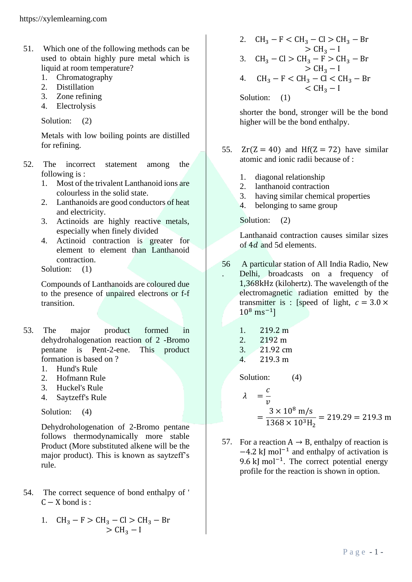- 51. Which one of the following methods can be used to obtain highly pure metal which is liquid at room temperature?
	- 1. Chromatography
	- 2. Distillation
	- 3. Zone refining
	- 4. Electrolysis

Solution: (2)

Metals with low boiling points are distilled for refining.

- 52. The incorrect statement among the following is :
	- 1. Most of the trivalent Lanthanoid ions are colourless in the solid state.
	- 2. Lanthanoids are good conductors of heat and electricity.
	- 3. Actinoids are highly reactive metals, especially when finely divided
	- 4. Actinoid contraction is greater for element to element than Lanthanoid contraction.

Solution: (1)

Compounds of Lanthanoids are coloured due to the presence of unpaired electrons or f-f transition.

- 53. The major product formed in dehydrohalogenation reaction of 2 -Bromo pentane is Pent-2-ene. This product formation is based on ?
	- 1. Hund's Rule
	- 2. Hofmann Rule
	- 3. Huckel's Rule
	- 4. Saytzeff's Rule

Solution: (4)

Dehydrohologenation of 2-Bromo pentane follows thermodynamically more stable Product (More substituted alkene will be the major product). This is known as saytzeff's rule.

54. The correct sequence of bond enthalpy of '  $C - X$  bond is :

1. 
$$
CH_3 - F > CH_3 - Cl > CH_3 - Br
$$
  
>  $CH_3 - I$ 

2.  $CH_3 - F < CH_3 - Cl > CH_3 - Br$  $>$  CH<sub>3</sub> – I 3.  $CH_3 - Cl > CH_3 - F > CH_3 - Br$  $> CH<sub>3</sub> - I$ 4.  $CH_3 - F < CH_3 - Cl < CH_3 - Br$  $<$  CH<sub>3</sub> – I Solution: (1)

shorter the bond, stronger will be the bond higher will be the bond enthalpy.

- 55.  $Zr(Z = 40)$  and Hf( $Z = 72$ ) have similar atomic and ionic radii because of :
	- 1. diagonal relationship
	- 2. lanthanoid contraction
	- 3. having similar chemical properties
	- 4. belonging to same group

Solution: (2)

Lanthanaid contraction causes similar sizes of 4*d* and 5*d* elements.

- 56 . A particular station of All India Radio, New Delhi, broadcasts on a frequency of 1,368kHz (kilohertz). The wavelength of the electromagnetic radiation emitted by the transmitter is : [speed of light,  $c = 3.0 \times$  $10^8$  ms<sup>-1</sup>]
	- 1. 219.2 m
	- 2. 2192 m
	- 3. 21.92 cm
	- 4. 219.3 m

Solution: (4)

$$
\lambda = \frac{c}{v}
$$
  
=  $\frac{3 \times 10^8 \text{ m/s}}{1368 \times 10^3 \text{H}_2}$  = 219.29 = 219.3 m

57. For a reaction  $A \rightarrow B$ , enthalpy of reaction is −4.2 kJ mol−1 and enthalpy of activation is 9.6 kJ mol<sup>-1</sup>. The correct potential energy profile for the reaction is shown in option.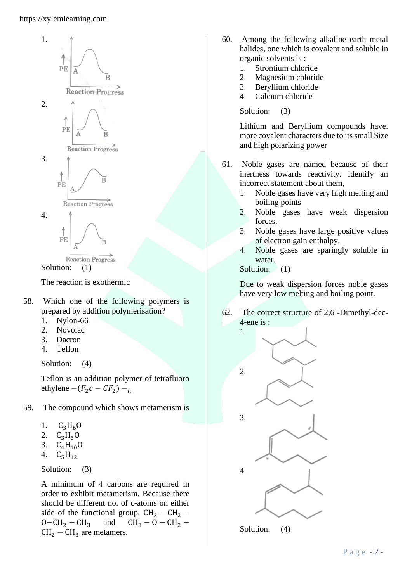### https://xylemlearning.com



The reaction is exothermic

- 58. Which one of the following polymers is prepared by addition polymerisation?
	- 1. Nylon-66
	- 2. Novolac
	- 3. Dacron
	- 4. Teflon

Solution: (4)

Teflon is an addition polymer of tetrafluoro ethylene  $-(F_2c - CF_2) -_n$ 

- 59. The compound which shows metamerism is
	- 1.  $C_3H_6O$
	- 2.  $C_3H_6O$
	- 3.  $C_4H_{10}O$
	- 4.  $C_5H_{12}$

Solution: (3)

A minimum of 4 carbons are required in order to exhibit metamerism. Because there should be different no. of c-atoms on either side of the functional group.  $CH_3 - CH_2$  –  $O-CH_2-CH_3$  and  $CH_3-O-CH_2 CH<sub>2</sub> - CH<sub>3</sub>$  are metamers.

- 60. Among the following alkaline earth metal halides, one which is covalent and soluble in organic solvents is :
	- 1. Strontium chloride
	- 2. Magnesium chloride
	- 3. Beryllium chloride
	- 4. Calcium chloride

## Solution: (3)

Lithium and Beryllium compounds have. more covalent characters due to its small Size and high polarizing power

- 61. Noble gases are named because of their inertness towards reactivity. Identify an incorrect statement about them,
	- 1. Noble gases have very high melting and boiling points
	- 2. Noble gases have weak dispersion forces.
	- 3. Noble gases have large positive values of electron gain enthalpy.
	- 4. Noble gases are sparingly soluble in water.

Solution: (1)

Due to weak dispersion forces noble gases have very low melting and boiling point.

62. The correct structure of 2,6 -Dimethyl-dec-4-ene is :



Solution: (4)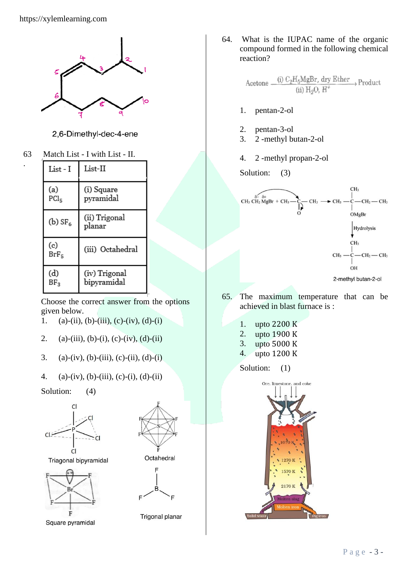

2,6-Dimethyl-dec-4-ene

63 Match List - I with List - II.

.

| List - I                           | List-II                      |
|------------------------------------|------------------------------|
| (a)<br>$\mathrm{PCl}_{\mathrm{S}}$ | (i) Square<br>pyramidal      |
| (b) $SF6$                          | (ii) Trigonal<br>planar      |
| (c)<br>$BrF_5$                     | (iii) Octahedral             |
| (d)<br>$BF_{3}$                    | (iv) Trigonal<br>bipyramidal |

Choose the correct answer from the options given below.

- 1. (a)-(ii), (b)-(iii), (c)-(iv), (d)-(i)
- 2. (a)-(iii), (b)-(i), (c)-(iv), (d)-(ii)
- 3. (a)-(iv), (b)-(iii), (c)-(ii), (d)-(i)
- 4. (a)-(iv), (b)-(iii), (c)-(i), (d)-(ii)
- Solution: (4)



Triagonal bipyramidal



Square pyramidal



Octahedral



Trigonal planar

64. What is the IUPAC name of the organic compound formed in the following chemical reaction?

> (i)  $C_2H_5MgBr$ , dry Ether Product Acetone.  $(ii)$  H<sub>2</sub>O,  $H^+$

- 1. pentan-2-ol
- 2. pentan-3-ol
- 3. 2 -methyl butan-2-ol
- 4. 2 -methyl propan-2-ol

Solution: (3)



65. The maximum temperature that can be achieved in blast furnace is :

- 1. upto 2200 K
- 2. upto 1900 K
- 3. upto 5000 K
- 4. upto 1200 K

Solution: (1)

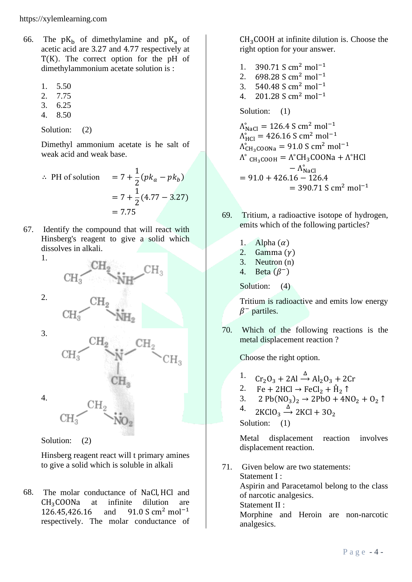- 66. The  $pK_b$  of dimethylamine and  $pK_a$  of acetic acid are 3.27 and 4.77 respectively at T(K). The correct option for the pH of dimethylammonium acetate solution is :
	- 1. 5.50
	- 2. 7.75
	- 3. 6.25
	- 4. 8.50

Solution: (2)

Dimethyl ammonium acetate is he salt of weak acid and weak base.

.. PH of solution 
$$
= 7 + \frac{1}{2} (p k_a - p k_b)
$$

$$
= 7 + \frac{1}{2} (4.77 - 3.27)
$$

$$
= 7.75
$$

67. Identify the compound that will react with Hinsberg's reagent to give a solid which dissolves in alkali.

1.



2.



Solution: (2)

Hinsberg reagent react will t primary amines to give a solid which is soluble in alkali

68. The molar conductance of NaCl,HCl and  $CH<sub>3</sub>COONa$  at infinite dilution are<br>126.45.426.16 and 91.0 S cm<sup>2</sup> mol<sup>-1</sup> 126.45,426.16 and 91.0 S cm<sup>2</sup> mol−1 respectively. The molar conductance of

 $CH<sub>3</sub>COOH$  at infinite dilution is. Choose the right option for your answer.

- 1. 390.71 S cm<sup>2</sup> mol<sup>-1</sup> 2. 698.28 S cm<sup>2</sup> mol<sup>-1</sup> 3. 540.48 S cm<sup>2</sup> mol<sup>-1</sup> 4. 201.28 S cm<sup>2</sup> mol−1 Solution: (1)  $\Lambda_{\text{NaCl}}^{\circ} = 126.4 \text{ S cm}^2 \text{ mol}^{-1}$  $\Lambda_{\text{HCl}}^{\circ} = 426.16 \text{ S cm}^2 \text{ mol}^{-1}$  $\Lambda_{CH_3COONa}^{\circ} = 91.0 \text{ S cm}^2 \text{ mol}^{-1}$  $\Lambda^{\circ}$  <sub>CH3</sub>COOH =  $\Lambda^{\circ}$ CH<sub>3</sub>COONa +  $\Lambda^{\circ}$ HCl
- $-\Lambda_{\text{NaCl}}^{\circ}$  $= 91.0 + 426.16 - 126.4$  $= 390.71$  S cm<sup>2</sup> mol<sup>-1</sup>
- 69. Tritium, a radioactive isotope of hydrogen, emits which of the following particles?
	- 1. Alpha  $(\alpha)$
	- 2. Gamma $(y)$
	- 3. Neutron (n)
	- 4. Beta  $(\beta^-)$

Solution: (4)

Tritium is radioactive and emits low energy  $\beta^-$  partiles.

70. Which of the following reactions is the metal displacement reaction ?

Choose the right option.

- 1.  $Cr_2O_3 + 2Al \xrightarrow{\Delta} Al_2O_3 + 2Cr$
- 2. Fe + 2HCl  $\rightarrow$  FeCl<sub>2</sub> +  $\hat{H}_2$   $\uparrow$
- 3. 2  $Pb(NO_3)_2 \rightarrow 2PbO + 4NO_2 + O_2$  1
- 4. 2KClO<sub>3</sub>  $\xrightarrow{\Delta}$  2KCl + 3O<sub>2</sub>

Solution: (1)

analgesics.

Metal displacement reaction involves displacement reaction.

71. Given below are two statements: Statement I : Aspirin and Paracetamol belong to the class of narcotic analgesics. Statement II : Morphine and Heroin are non-narcotic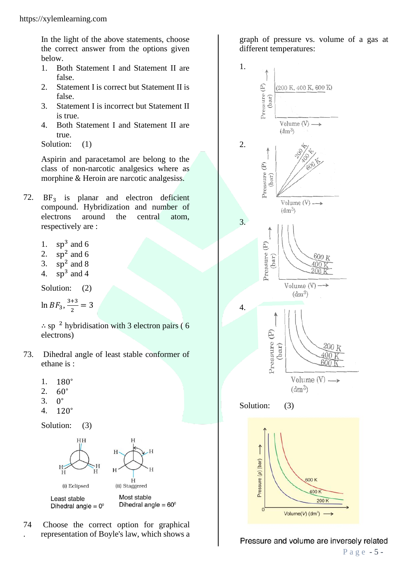In the light of the above statements, choose the correct answer from the options given below.

- 1. Both Statement I and Statement II are false.
- 2. Statement I is correct but Statement II is false.
- 3. Statement I is incorrect but Statement II is true.
- 4. Both Statement I and Statement II are true.

Solution:  $(1)$ 

Aspirin and paracetamol are belong to the class of non-narcotic analgesics where as morphine & Heroin are narcotic analgesiss.

- 72.  $BF_3$  is planar and electron deficient compound. Hybridization and number of electrons around the central atom, respectively are :
	- 1.  $sp^3$  and 6
	- 2.  $sp^2$  and 6
	- 3.  $sp^2$  and 8
	- 4.  $sp^3$  and 4

Solution: (2)

 $\ln BF_3, \frac{3+3}{2}$  $\frac{1}{2}$  = 3

 $\therefore$  sp<sup>2</sup> hybridisation with 3 electron pairs (6 electrons)

- 73. Dihedral angle of least stable conformer of ethane is :
	- 1. 180<sup>∘</sup>
	- 2. 60<sup>∘</sup>
	- 3. 0 <sup>o</sup>
	- 4. 120<sup>∘</sup>

Solution: (3)



74 . Choose the correct option for graphical representation of Boyle's law, which shows a

graph of pressure vs. volume of a gas at different temperatures:



Pressure and volume are inversely related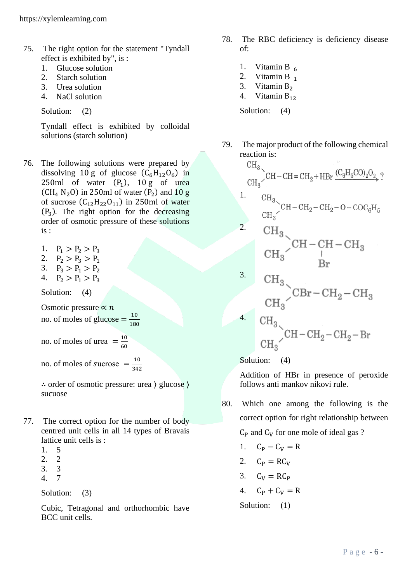- 75. The right option for the statement "Tyndall effect is exhibited by", is :
	- 1. Glucose solution
	- 2. Starch solution
	- 3. Urea solution
	- 4. NaCl solution

Solution: (2)

Tyndall effect is exhibited by colloidal solutions (starch solution)

- 76. The following solutions were prepared by dissolving 10 g of glucose  $(C_6H_{12}O_6)$  in  $250ml$  of water  $(P_1)$ ,  $10g$  of urea  $(CH_4 N_2 O)$  in 250ml of water  $(P_2)$  and 10 g of sucrose  $(C_{12}H_{22}O_{11})$  in 250ml of water (P<sup>3</sup> ). The right option for the decreasing order of osmotic pressure of these solutions is :
	- 1.  $P_1 > P_2 > P_3$
	- 2.  $P_2 > P_3 > P_1$
	- 3.  $P_3 > P_1 > P_2$
	- 4.  $P_2 > P_1 > P_3$

Solution: (4)

Osmotic pressure  $\propto n$ no. of moles of glucose  $=\frac{10}{100}$ 180

no. of moles of urea  $=$  $\frac{10}{6}$ 60

no. of moles of sucrose  $=$   $\frac{10}{245}$ 342

∴ order of osmotic pressure: urea ⟩ glucose ⟩ sucuose

- 77. The correct option for the number of body centred unit cells in all 14 types of Bravais lattice unit cells is :
	- 1. 5
	- 2. 2
	- 3. 3
	- 4. 7

Solution: (3)

Cubic, Tetragonal and orthorhombic have BCC unit cells.

- 78. The RBC deficiency is deficiency disease of:
	- 1. Vitamin B  $_6$ <br>2. Vitamin B  $_1$
	- Vitamin B $_1$
	- 3. Vitamin  $B_2$ <br>4. Vitamin  $B_1$ .
	- Vitamin B<sub>12</sub>

Solution: (4)

 $\mathcal{L}$ 

79. The major product of the following chemical reaction is:

$$
\text{CH}_3\text{CH}_2-\text{CH}= \text{CH}_2+\text{HBr}\xrightarrow{\text{(C}_6\text{H}_5\text{CO})_2\text{O}_2}?
$$

$$
\frac{\text{CH}_3}{\text{CH}_3} \text{CH}-\text{CH}_2-\text{CH}_2-O-\text{COC}_6\text{H}_5
$$

$$
\begin{array}{c}\n\text{CH}_3 \\
\text{CH}_3\n\end{array}
$$
CH - CH - CH<sub>3</sub>

$$
\begin{array}{cc}\n\text{CH}_3 \\
\text{CH}_3\n\end{array}\n\text{CBr}-\text{CH}_2-\text{CH}_3
$$

<sup>4.</sup> CH<sub>3</sub> 
$$
CH - CH_2 - CH_2 - Br
$$
  
CH<sub>3</sub>  $CH - CH_2 - CH_2 - Br$ 

Solution: (4)

Addition of HBr in presence of peroxide follows anti mankov nikovi rule.

80. Which one among the following is the correct option for right relationship between

 $C_P$  and  $C_V$  for one mole of ideal gas ?

$$
1. \quad C_P - C_V = R
$$

- 2.  $C_P = RC_V$
- 3.  $C_V = RC_P$
- 4.  $C_P + C_V = R$
- Solution: (1)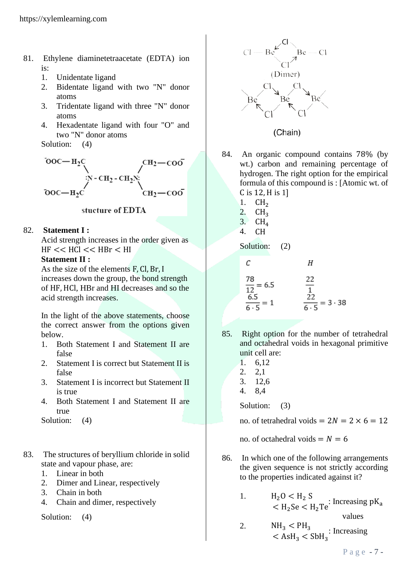- 81. Ethylene diaminetetraacetate (EDTA) ion is:
	- 1. Unidentate ligand
	- 2. Bidentate ligand with two "N" donor atoms
	- 3. Tridentate ligand with three "N" donor atoms
	- 4. Hexadentate ligand with four "O" and two "N" donor atoms

Solution: (4)



# stucture of EDTA

## 82. **Statement I :**

Acid strength increases in the order given as  $HF << HCl << HBr < HII$ 

### **Statement II :**

As the size of the elements F, Cl, Br, I increases down the group, the bond strength of HF,HCl, HBr and HI decreases and so the acid strength increases.

In the light of the above statements, choose the correct answer from the options given below.

- 1. Both Statement I and Statement II are false
- 2. Statement I is correct but Statement II is false
- 3. Statement I is incorrect but Statement II is true
- 4. Both Statement I and Statement II are true
- Solution: (4)
- 83. The structures of beryllium chloride in solid state and vapour phase, are:
	- 1. Linear in both
	- 2. Dimer and Linear, respectively
	- 3. Chain in both
	- 4. Chain and dimer, respectively

Solution: (4)



- 84. An organic compound contains 78% (by wt.) carbon and remaining percentage of hydrogen. The right option for the empirical formula of this compound is : [Atomic wt. of C is 12,H is 1]
	- 1.  $CH<sub>2</sub>$ <br>2.  $CH<sub>2</sub>$  $CH<sub>3</sub>$
	-
	- 3.  $CH<sub>4</sub>$ <br>4.  $CH<sub>4</sub>$  $CH$

Solution: (2)

| $C$                         | $H$                                 |
|-----------------------------|-------------------------------------|
| $\frac{78}{12} = 6.5$       | $\frac{22}{1}$                      |
| $\frac{6.5}{6 \cdot 5} = 1$ | $\frac{22}{6 \cdot 5} = 3 \cdot 38$ |

- 85. Right option for the number of tetrahedral and octahedral voids in hexagonal primitive unit cell are:
	- 1. 6,12 2. 2,1 3. 12,6 4. 8,4 Solution: (3)

no. of tetrahedral voids  $= 2N = 2 \times 6 = 12$ 

no. of octahedral voids  $= N = 6$ 

- 86. In which one of the following arrangements the given sequence is not strictly according to the properties indicated against it?
	- 1.  $H_2O < H_2 S$ <br>  $< H_2Se < H_2Te$ : Increasing pK<sub>a</sub> values
	- 2.  $NH_3 < PH_3$  $<$  AsH<sub>3</sub>  $<$  SbH<sub>3</sub> : Increasing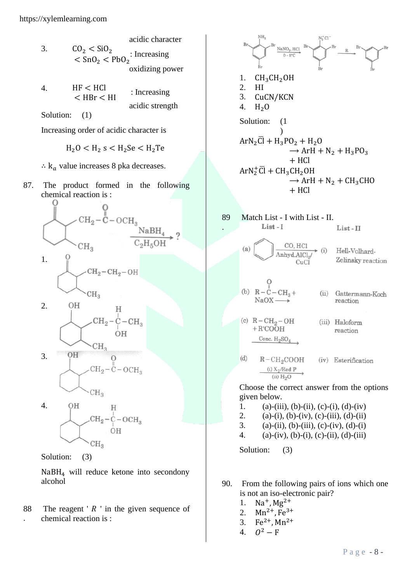- acidic character 3.  $CO_2 < SiO_2$  $<$  SnO<sub>2</sub>  $<$  PbO<sub>2</sub> : Increasing oxidizing power 4. HF < HCl  $<$  HBr  $<$  HI : Increasing acidic strength
	- Solution: (1)

Increasing order of acidic character is

$$
\mathrm{H}_2\mathrm{O}<\mathrm{H}_2\mathrm{\,s}<\mathrm{H}_2\mathrm{Se}<\mathrm{H}_2\mathrm{Te}
$$

- $\therefore$  k<sub>a</sub> value increases 8 pka decreases.
- 87. The product formed in the following chemical reaction is :







$$
\left.\rule{0pt}{10pt}\right\vert_{\rm CH_3} \!\!\!\!\!\! \otimes
$$

Solution: (3)

NaBH<sup>4</sup> will reduce ketone into secondony alcohol

88 . The reagent ' $R$ ' in the given sequence of chemical reaction is :

$$
8r
$$
\n1. CH<sub>3</sub>CH<sub>2</sub>OH\n2. HI\n3. CuCN/KCN\n4. H<sub>2</sub>O\nSolution: (1\n1)\nArN<sub>2</sub>Cl + H<sub>3</sub>PO<sub>2</sub> + H<sub>2</sub>O\nArH + N<sub>2</sub> + H<sub>3</sub>PO<sub>3</sub>\n+ HCl\nArN<sub>2</sub><sup>+</sup>Cl + CH<sub>3</sub>CH<sub>2</sub>OH\n-HCl\nArN<sub>2</sub><sup>+</sup>Cl + CH<sub>3</sub>CH<sub>2</sub>OH\n-HCl\n4. HCl

 $n + cn$ 

NH.

89 Match List - I with List - II. Choose the correct answer from the options

given below.

- 1. (a)-(iii), (b)-(ii), (c)-(i), (d)-(iv)
- 2. (a)-(i), (b)-(iv), (c)-(iii), (d)-(ii)
- 3. (a)-(ii), (b)-(iii), (c)-(iv), (d)-(i)
- 4. (a)-(iv), (b)-(i), (c)-(ii), (d)-(iii)

Solution: (3)

.

- 90. From the following pairs of ions which one is not an iso-electronic pair?
	- 1.  $Na^{+}$ ,  $Mg^{2+}$
	- 2.  $Mn^{2+}$ , Fe<sup>3+</sup>
	- 3.  $Fe^{2+}$ , Mn<sup>2+</sup>
	- 4.  $Q^2 - F$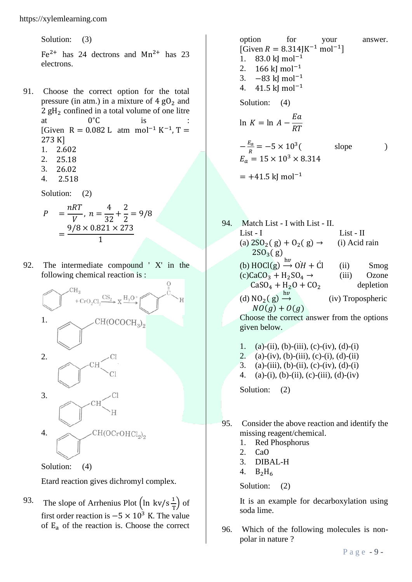Solution: (3)  $Fe<sup>2+</sup>$  has 24 dectrons and  $Mn^{2+}$  has 23 electrons.

- 91. Choose the correct option for the total pressure (in atm.) in a mixture of  $4 \text{ gO}_2$  and 2 gH<sub>2</sub> confined in a total volume of one litre at  $0^{\circ}$ C  $\degree$ C is : [Given R = 0.082 L atm mol<sup>-1</sup> K<sup>-1</sup>, T = 273 K]
	- 1. 2.602
	- 2. 25.18
	- 3. 26.02
	- 4. 2.518

Solution: (2)

$$
P = \frac{nRT}{V}, n = \frac{4}{32} + \frac{2}{2} = 9/8
$$
  
= 
$$
\frac{9/8 \times 0.821 \times 273}{1}
$$

92. The intermediate compound ' X' in the following chemical reaction is :

 $\overline{H}$ 



Solution: (4)

Etard reaction gives dichromyl complex.

93. The slope of Arrhenius Plot  $\left(\ln \frac{kv}{s}\right)$  $\frac{1}{T}$  of first order reaction is  $-5 \times 10^3$  K. The value of  $E_a$  of the reaction is. Choose the correct

option for your answer.  
\n[Given 
$$
R = 8.314
$$
 |K<sup>-1</sup> mol<sup>-1</sup>]  
\n1. 83.0 k] mol<sup>-1</sup>  
\n2. 166 k] mol<sup>-1</sup>  
\n3. -83 k] mol<sup>-1</sup>  
\n4. 41.5 k] mol<sup>-1</sup>  
\nSolution: (4)  
\nln  $K = \ln A - \frac{Ea}{RT}$   
\n $-\frac{E_a}{R} = -5 \times 10^3$  (slope)  
\n $E_a = 15 \times 10^3 \times 8.314$   
\n= +41.5 k] mol<sup>-1</sup>

- 94. Match List I with List II. List - I list - II (a)  $2SO_2(g) + O_2(g) \rightarrow$  (i) Acid rain  $2SO_3(g)$ (b)  $HOCl(g) \xrightarrow{hv} OH + Cl$  (ii) Smog  $(c)CaCO_3 + H_2SO_4 \rightarrow$  (iii) Ozone<br>CaSO<sub>4</sub> + H<sub>2</sub>O + CO<sub>2</sub> depletion  $CaSO_4 + H_2O + CO_2$ (d)  $NO_2$ (g)  $\xrightarrow{hv}$  (iv) Tropospheric  $NO(g) + O(g)$ Choose the correct answer from the options given below.
	- 1. (a)-(ii), (b)-(iii), (c)-(iv), (d)-(i)
	- 2. (a)-(iv), (b)-(iii), (c)-(i), (d)-(ii)
	- 3. (a)-(iii), (b)-(ii), (c)-(iv), (d)-(i)
	- 4. (a)-(i), (b)-(ii), (c)-(iii), (d)-(iv)

Solution: (2)

- 95. Consider the above reaction and identify the missing reagent/chemical.
	- 1. Red Phosphorus
	- 2. CaO
	- 3. DIBAL-H
	- 4.  $B_2H_6$

Solution: (2)

It is an example for decarboxylation using soda lime.

96. Which of the following molecules is nonpolar in nature ?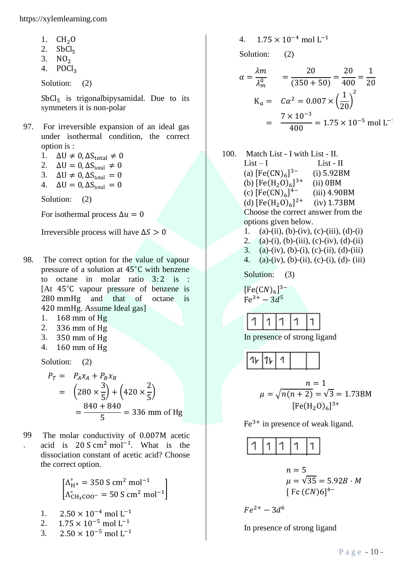https://xylemlearning.com

- 1.  $CH<sub>2</sub>O$ <br>2. SbCl<sub>5</sub>
- 2.  $SbCl<sub>5</sub>$ <br>3.  $NO<sub>2</sub>$
- $NO<sub>2</sub>$
- 4.  $POCl<sub>3</sub>$

Solution: (2)

 $SbCl<sub>5</sub>$  is trigonal bipysamidal. Due to its symmeters it is non-polar

- 97. For irreversible expansion of an ideal gas under isothermal condition, the correct option is :
	- 1.  $\Delta U \neq 0$ ,  $\Delta S_{total} \neq 0$
	- 2.  $\Delta U = 0$ ,  $\Delta S_{total} \neq 0$
	- 3.  $\Delta U \neq 0$ ,  $\Delta S_{total} = 0$
	- 4.  $\Delta U = 0$ ,  $\Delta S_{total} = 0$

Solution: (2)

For isothermal process  $\Delta u = 0$ 

Irreversible process will have  $\Delta S > 0$ 

- 98. The correct option for the value of vapour pressure of a solution at 45∘C with benzene to octane in molar ratio  $3:2$  is : [At 45∘C vapour pressure of benzene is 280 mmHg and that of octane is 420 mmHg. Assume Ideal gas]
	- 1. 168 mm of Hg
	- 2. 336 mm of Hg
	- 3. 350 mm of Hg
	- 4. 160 mm of Hg

Solution: (2)

$$
P_T = P_A x_A + P_B x_B
$$
  
=  $\left(280 \times \frac{3}{5}\right) + \left(420 \times \frac{2}{5}\right)$   
=  $\frac{840 + 840}{5}$  = 336 mm of Hg

99 . The molar conductivity of 0.007M acetic acid is  $20 S \text{ cm}^2 \text{ mol}^{-1}$ . What is the dissociation constant of acetic acid? Choose the correct option.

$$
\begin{bmatrix} \Lambda_{H^+}^\circ = 350 \text{ S cm}^2 \text{ mol}^{-1} \\ \Lambda_{CH_3COO^-}^\circ = 50 \text{ S cm}^2 \text{ mol}^{-1} \end{bmatrix}
$$

- 1.  $2.50 \times 10^{-4}$  mol L<sup>-1</sup>
- 2.  $1.75 \times 10^{-5}$  mol L<sup>-1</sup>
- 3. 2.50  $\times$  10<sup>-5</sup> mol L<sup>-1</sup>

4.  $1.75 \times 10^{-4}$  mol L<sup>-1</sup>

Solution: (2)

$$
\alpha = \frac{\lambda m}{\lambda_m^0} = \frac{20}{(350 + 50)} = \frac{20}{400} = \frac{1}{20}
$$
  
\n
$$
K_a = C\alpha^2 = 0.007 \times \left(\frac{1}{20}\right)^2
$$
  
\n
$$
= \frac{7 \times 10^{-3}}{400} = 1.75 \times 10^{-5} \text{ mol L}^{-1}
$$

- 100. Match List I with List II.  $List - I$   $List - II$ (a)  $[Fe(CN)<sub>6</sub>]$ 3− (i) 5.92BM (b)  $[Fe(H<sub>2</sub>O)<sub>6</sub>]$  $(ii)$  0BM (c)  $[Fe(CN)<sub>6</sub>]$ (iii) 4.90BM (d)  $[Fe(H<sub>2</sub>O)<sub>6</sub>]$  $(iv)$  1.73BM Choose the correct answer from the options given below.
	- 1. (a)-(ii), (b)-(iv), (c)-(iii), (d)-(i)
	- 2. (a)-(i), (b)-(iii), (c)-(iv), (d)-(ii)
	- 3. (a)-(iv), (b)-(i), (c)-(ii), (d)-(iii)
	- 4. (a)-(iv), (b)-(ii), (c)-(i), (d)- (iii)

Solution: (3)

 $[Fe(CN)<sub>6</sub>]$ <sup>3-</sup>  $Fe^{3+} - 3d^5$ 

$$
1 \, | 1 \, | 1 \, | 1 \, | 1
$$

In presence of strong ligand

$$
1\sqrt{1 + 1 + 1} = \sqrt{n(n+2)} = \sqrt{3} = 1.73 \text{BM}
$$

$$
[Fe(H2O)6]3+
$$

 $Fe<sup>3+</sup>$  in presence of weak ligand.



$$
n = 5
$$
  
\n
$$
\mu = \sqrt{35} = 5.92B \cdot M
$$
  
\n[Fe (CN)6]<sup>4-</sup>

$$
Fe^{2+} - 3d^6
$$

In presence of strong ligand